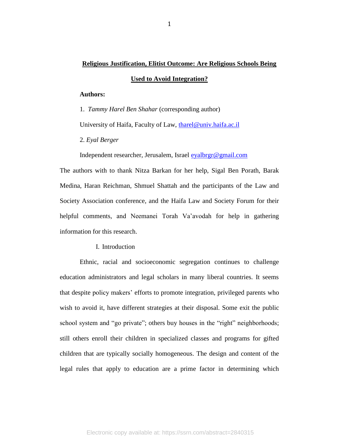# **Religious Justification, Elitist Outcome: Are Religious Schools Being**

#### **Used to Avoid Integration?**

#### **Authors:**

1. *Tammy Harel Ben Shahar* (corresponding author)

University of Haifa, Faculty of Law, [tharel@univ.haifa.ac.il](mailto:tharel@univ.haifa.ac.il)

2. *Eyal Berger*

Independent researcher, Jerusalem, Israel [eyalbrgr@gmail.com](mailto:eyalbrgr@gmail.com)

The authors with to thank Nitza Barkan for her help, Sigal Ben Porath, Barak Medina, Haran Reichman, Shmuel Shattah and the participants of the Law and Society Association conference, and the Haifa Law and Society Forum for their helpful comments, and Neemanei Torah Va'avodah for help in gathering information for this research.

I. Introduction

Ethnic, racial and socioeconomic segregation continues to challenge education administrators and legal scholars in many liberal countries. It seems that despite policy makers' efforts to promote integration, privileged parents who wish to avoid it, have different strategies at their disposal. Some exit the public school system and "go private"; others buy houses in the "right" neighborhoods; still others enroll their children in specialized classes and programs for gifted children that are typically socially homogeneous. The design and content of the legal rules that apply to education are a prime factor in determining which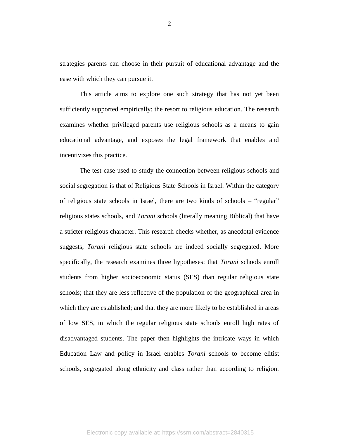strategies parents can choose in their pursuit of educational advantage and the ease with which they can pursue it.

This article aims to explore one such strategy that has not yet been sufficiently supported empirically: the resort to religious education. The research examines whether privileged parents use religious schools as a means to gain educational advantage, and exposes the legal framework that enables and incentivizes this practice.

The test case used to study the connection between religious schools and social segregation is that of Religious State Schools in Israel. Within the category of religious state schools in Israel, there are two kinds of schools – "regular" religious states schools, and *Torani* schools (literally meaning Biblical) that have a stricter religious character. This research checks whether, as anecdotal evidence suggests, *Torani* religious state schools are indeed socially segregated. More specifically, the research examines three hypotheses: that *Torani* schools enroll students from higher socioeconomic status (SES) than regular religious state schools; that they are less reflective of the population of the geographical area in which they are established; and that they are more likely to be established in areas of low SES, in which the regular religious state schools enroll high rates of disadvantaged students. The paper then highlights the intricate ways in which Education Law and policy in Israel enables *Torani* schools to become elitist schools, segregated along ethnicity and class rather than according to religion.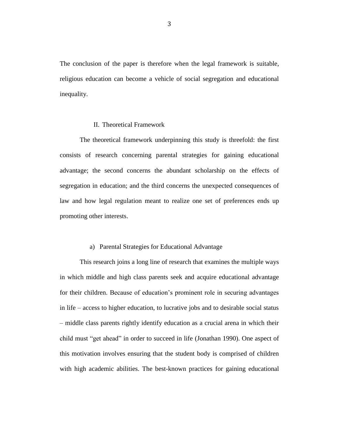The conclusion of the paper is therefore when the legal framework is suitable, religious education can become a vehicle of social segregation and educational inequality.

#### II. Theoretical Framework

The theoretical framework underpinning this study is threefold: the first consists of research concerning parental strategies for gaining educational advantage; the second concerns the abundant scholarship on the effects of segregation in education; and the third concerns the unexpected consequences of law and how legal regulation meant to realize one set of preferences ends up promoting other interests.

#### a) Parental Strategies for Educational Advantage

This research joins a long line of research that examines the multiple ways in which middle and high class parents seek and acquire educational advantage for their children. Because of education's prominent role in securing advantages in life – access to higher education, to lucrative jobs and to desirable social status – middle class parents rightly identify education as a crucial arena in which their child must "get ahead" in order to succeed in life (Jonathan 1990). One aspect of this motivation involves ensuring that the student body is comprised of children with high academic abilities. The best-known practices for gaining educational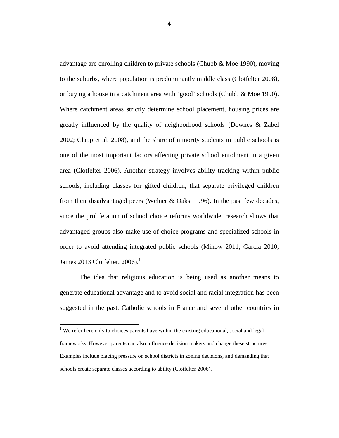advantage are enrolling children to private schools (Chubb & Moe 1990), moving to the suburbs, where population is predominantly middle class (Clotfelter 2008), or buying a house in a catchment area with 'good' schools (Chubb & Moe 1990). Where catchment areas strictly determine school placement, housing prices are greatly influenced by the quality of neighborhood schools (Downes & Zabel 2002; Clapp et al. 2008), and the share of minority students in public schools is one of the most important factors affecting private school enrolment in a given area (Clotfelter 2006). Another strategy involves ability tracking within public schools, including classes for gifted children, that separate privileged children from their disadvantaged peers (Welner & Oaks, 1996). In the past few decades, since the proliferation of school choice reforms worldwide, research shows that advantaged groups also make use of choice programs and specialized schools in order to avoid attending integrated public schools (Minow 2011; Garcia 2010; James 2013 Clotfelter,  $2006$ .<sup>1</sup>

The idea that religious education is being used as another means to generate educational advantage and to avoid social and racial integration has been suggested in the past. Catholic schools in France and several other countries in

l

<sup>&</sup>lt;sup>1</sup> We refer here only to choices parents have within the existing educational, social and legal frameworks. However parents can also influence decision makers and change these structures. Examples include placing pressure on school districts in zoning decisions, and demanding that schools create separate classes according to ability (Clotfelter 2006).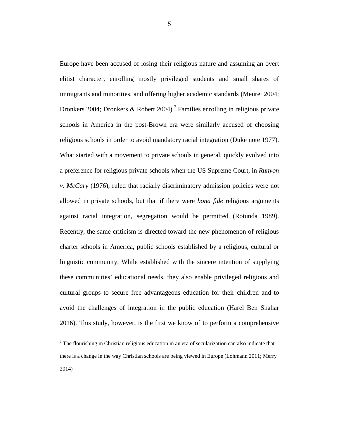Europe have been accused of losing their religious nature and assuming an overt elitist character, enrolling mostly privileged students and small shares of immigrants and minorities, and offering higher academic standards (Meuret 2004; Dronkers 2004; Dronkers & Robert 2004). 2 Families enrolling in religious private schools in America in the post-Brown era were similarly accused of choosing religious schools in order to avoid mandatory racial integration (Duke note 1977). What started with a movement to private schools in general, quickly evolved into a preference for religious private schools when the US Supreme Court, in *Runyon v. McCary* (1976), ruled that racially discriminatory admission policies were not allowed in private schools, but that if there were *bona fide* religious arguments against racial integration, segregation would be permitted (Rotunda 1989). Recently, the same criticism is directed toward the new phenomenon of religious charter schools in America, public schools established by a religious, cultural or linguistic community. While established with the sincere intention of supplying these communities' educational needs, they also enable privileged religious and cultural groups to secure free advantageous education for their children and to avoid the challenges of integration in the public education (Harel Ben Shahar 2016). This study, however, is the first we know of to perform a comprehensive

 $2^2$  The flourishing in Christian religious education in an era of secularization can also indicate that there is a change in the way Christian schools are being viewed in Europe (Lohmann 2011; Merry 2014)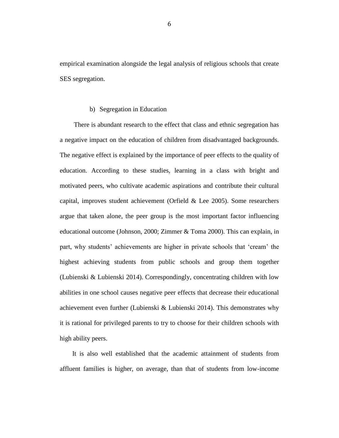empirical examination alongside the legal analysis of religious schools that create SES segregation.

#### b) Segregation in Education

There is abundant research to the effect that class and ethnic segregation has a negative impact on the education of children from disadvantaged backgrounds. The negative effect is explained by the importance of peer effects to the quality of education. According to these studies, learning in a class with bright and motivated peers, who cultivate academic aspirations and contribute their cultural capital, improves student achievement (Orfield & Lee 2005). Some researchers argue that taken alone, the peer group is the most important factor influencing educational outcome (Johnson, 2000; Zimmer & Toma 2000). This can explain, in part, why students' achievements are higher in private schools that 'cream' the highest achieving students from public schools and group them together (Lubienski & Lubienski 2014). Correspondingly, concentrating children with low abilities in one school causes negative peer effects that decrease their educational achievement even further (Lubienski & Lubienski 2014). This demonstrates why it is rational for privileged parents to try to choose for their children schools with high ability peers.

It is also well established that the academic attainment of students from affluent families is higher, on average, than that of students from low-income

6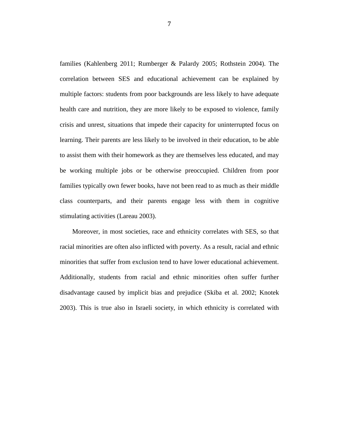families (Kahlenberg 2011; Rumberger & Palardy 2005; Rothstein 2004). The correlation between SES and educational achievement can be explained by multiple factors: students from poor backgrounds are less likely to have adequate health care and nutrition, they are more likely to be exposed to violence, family crisis and unrest, situations that impede their capacity for uninterrupted focus on learning. Their parents are less likely to be involved in their education, to be able to assist them with their homework as they are themselves less educated, and may be working multiple jobs or be otherwise preoccupied. Children from poor families typically own fewer books, have not been read to as much as their middle class counterparts, and their parents engage less with them in cognitive stimulating activities (Lareau 2003).

Moreover, in most societies, race and ethnicity correlates with SES, so that racial minorities are often also inflicted with poverty. As a result, racial and ethnic minorities that suffer from exclusion tend to have lower educational achievement. Additionally, students from racial and ethnic minorities often suffer further disadvantage caused by implicit bias and prejudice (Skiba et al. 2002; Knotek 2003). This is true also in Israeli society, in which ethnicity is correlated with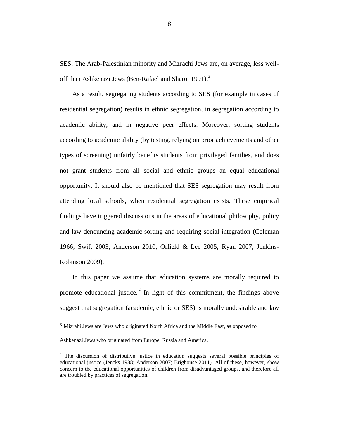SES: The Arab-Palestinian minority and Mizrachi Jews are, on average, less welloff than Ashkenazi Jews (Ben-Rafael and Sharot 1991).<sup>3</sup>

As a result, segregating students according to SES (for example in cases of residential segregation) results in ethnic segregation, in segregation according to academic ability, and in negative peer effects. Moreover, sorting students according to academic ability (by testing, relying on prior achievements and other types of screening) unfairly benefits students from privileged families, and does not grant students from all social and ethnic groups an equal educational opportunity. It should also be mentioned that SES segregation may result from attending local schools, when residential segregation exists. These empirical findings have triggered discussions in the areas of educational philosophy, policy and law denouncing academic sorting and requiring social integration (Coleman 1966; Swift 2003; Anderson 2010; Orfield & Lee 2005; Ryan 2007; Jenkins-Robinson 2009).

In this paper we assume that education systems are morally required to promote educational justice.<sup>4</sup> In light of this commitment, the findings above suggest that segregation (academic, ethnic or SES) is morally undesirable and law

<sup>3</sup> Mizrahi Jews are Jews who originated North Africa and the Middle East, as opposed to

Ashkenazi Jews who originated from Europe, Russia and America.

<sup>4</sup> The discussion of distributive justice in education suggests several possible principles of educational justice (Jencks 1988; Anderson 2007; Brighouse 2011). All of these, however, show concern to the educational opportunities of children from disadvantaged groups, and therefore all are troubled by practices of segregation.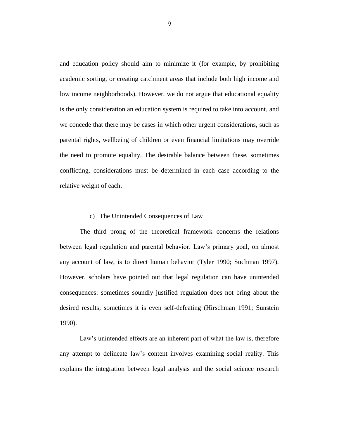and education policy should aim to minimize it (for example, by prohibiting academic sorting, or creating catchment areas that include both high income and low income neighborhoods). However, we do not argue that educational equality is the only consideration an education system is required to take into account, and we concede that there may be cases in which other urgent considerations, such as parental rights, wellbeing of children or even financial limitations may override the need to promote equality. The desirable balance between these, sometimes conflicting, considerations must be determined in each case according to the relative weight of each.

#### c) The Unintended Consequences of Law

The third prong of the theoretical framework concerns the relations between legal regulation and parental behavior. Law's primary goal, on almost any account of law, is to direct human behavior (Tyler 1990; Suchman 1997). However, scholars have pointed out that legal regulation can have unintended consequences: sometimes soundly justified regulation does not bring about the desired results; sometimes it is even self-defeating (Hirschman 1991; Sunstein 1990).

Law's unintended effects are an inherent part of what the law is, therefore any attempt to delineate law's content involves examining social reality. This explains the integration between legal analysis and the social science research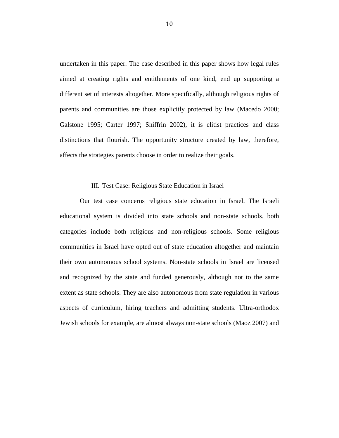undertaken in this paper. The case described in this paper shows how legal rules aimed at creating rights and entitlements of one kind, end up supporting a different set of interests altogether. More specifically, although religious rights of parents and communities are those explicitly protected by law (Macedo 2000; Galstone 1995; Carter 1997; Shiffrin 2002), it is elitist practices and class distinctions that flourish. The opportunity structure created by law, therefore, affects the strategies parents choose in order to realize their goals.

#### III. Test Case: Religious State Education in Israel

Our test case concerns religious state education in Israel. The Israeli educational system is divided into state schools and non-state schools, both categories include both religious and non-religious schools. Some religious communities in Israel have opted out of state education altogether and maintain their own autonomous school systems. Non-state schools in Israel are licensed and recognized by the state and funded generously, although not to the same extent as state schools. They are also autonomous from state regulation in various aspects of curriculum, hiring teachers and admitting students. Ultra-orthodox Jewish schools for example, are almost always non-state schools (Maoz 2007) and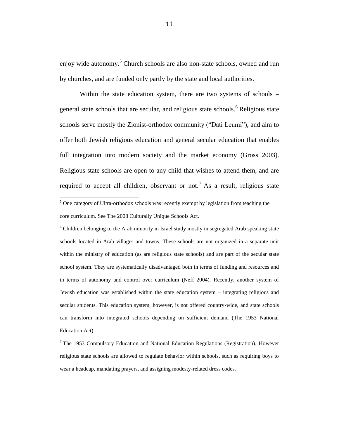enjoy wide autonomy.<sup>5</sup> Church schools are also non-state schools, owned and run by churches, and are funded only partly by the state and local authorities.

Within the state education system, there are two systems of schools – general state schools that are secular, and religious state schools.<sup>6</sup> Religious state schools serve mostly the Zionist-orthodox community ("Dati Leumi"), and aim to offer both Jewish religious education and general secular education that enables full integration into modern society and the market economy (Gross 2003). Religious state schools are open to any child that wishes to attend them, and are required to accept all children, observant or not.<sup>7</sup> As a result, religious state

 $\overline{a}$ 

<sup>6</sup> Children belonging to the Arab minority in Israel study mostly in segregated Arab speaking state schools located in Arab villages and towns. These schools are not organized in a separate unit within the ministry of education (as are religious state schools) and are part of the secular state school system. They are systematically disadvantaged both in terms of funding and resources and in terms of autonomy and control over curriculum (Neff 2004). Recently, another system of Jewish education was established within the state education system – integrating religious and secular students. This education system, however, is not offered country-wide, and state schools can transform into integrated schools depending on sufficient demand (The 1953 National Education Act)

<sup>7</sup> The 1953 Compulsory Education and National Education Regulations (Registration). However religious state schools are allowed to regulate behavior within schools, such as requiring boys to wear a headcap, mandating prayers, and assigning modesty-related dress codes.

 $5$  One category of Ultra-orthodox schools was recently exempt by legislation from teaching the core curriculum. See The 2008 Culturally Unique Schools Act.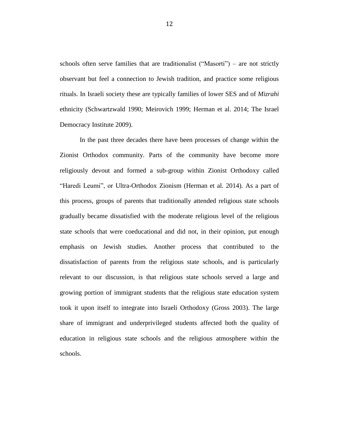schools often serve families that are traditionalist ("Masorti") – are not strictly observant but feel a connection to Jewish tradition, and practice some religious rituals. In Israeli society these are typically families of lower SES and of *Mizrahi* ethnicity (Schwartzwald 1990; Meirovich 1999; Herman et al. 2014; The Israel Democracy Institute 2009).

In the past three decades there have been processes of change within the Zionist Orthodox community. Parts of the community have become more religiously devout and formed a sub-group within Zionist Orthodoxy called "Haredi Leumi", or Ultra-Orthodox Zionism (Herman et al. 2014). As a part of this process, groups of parents that traditionally attended religious state schools gradually became dissatisfied with the moderate religious level of the religious state schools that were coeducational and did not, in their opinion, put enough emphasis on Jewish studies. Another process that contributed to the dissatisfaction of parents from the religious state schools, and is particularly relevant to our discussion, is that religious state schools served a large and growing portion of immigrant students that the religious state education system took it upon itself to integrate into Israeli Orthodoxy (Gross 2003). The large share of immigrant and underprivileged students affected both the quality of education in religious state schools and the religious atmosphere within the schools.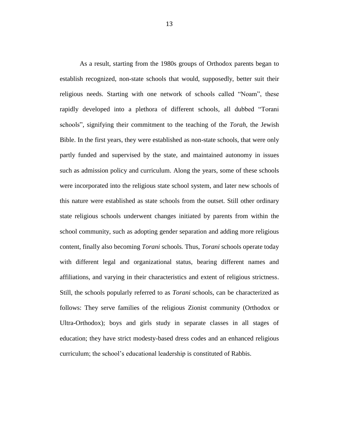As a result, starting from the 1980s groups of Orthodox parents began to establish recognized, non-state schools that would, supposedly, better suit their religious needs. Starting with one network of schools called "Noam", these rapidly developed into a plethora of different schools, all dubbed "Torani schools", signifying their commitment to the teaching of the *Torah*, the Jewish Bible. In the first years, they were established as non-state schools, that were only partly funded and supervised by the state, and maintained autonomy in issues such as admission policy and curriculum. Along the years, some of these schools were incorporated into the religious state school system, and later new schools of this nature were established as state schools from the outset. Still other ordinary state religious schools underwent changes initiated by parents from within the school community, such as adopting gender separation and adding more religious content, finally also becoming *Torani* schools*.* Thus, *Torani* schools operate today with different legal and organizational status, bearing different names and affiliations, and varying in their characteristics and extent of religious strictness. Still, the schools popularly referred to as *Torani* schools, can be characterized as follows: They serve families of the religious Zionist community (Orthodox or Ultra-Orthodox); boys and girls study in separate classes in all stages of education; they have strict modesty-based dress codes and an enhanced religious curriculum; the school's educational leadership is constituted of Rabbis.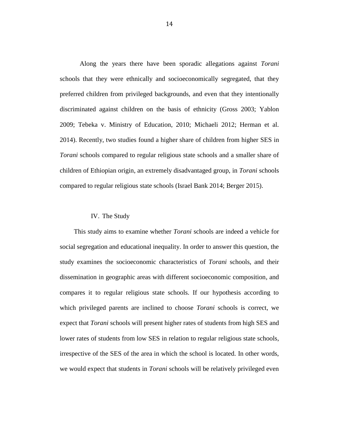Along the years there have been sporadic allegations against *Torani* schools that they were ethnically and socioeconomically segregated, that they preferred children from privileged backgrounds, and even that they intentionally discriminated against children on the basis of ethnicity (Gross 2003; Yablon 2009; Tebeka v. Ministry of Education, 2010; Michaeli 2012; Herman et al. 2014). Recently, two studies found a higher share of children from higher SES in *Torani* schools compared to regular religious state schools and a smaller share of children of Ethiopian origin, an extremely disadvantaged group, in *Torani* schools compared to regular religious state schools (Israel Bank 2014; Berger 2015).

#### IV. The Study

This study aims to examine whether *Torani* schools are indeed a vehicle for social segregation and educational inequality. In order to answer this question, the study examines the socioeconomic characteristics of *Torani* schools, and their dissemination in geographic areas with different socioeconomic composition, and compares it to regular religious state schools. If our hypothesis according to which privileged parents are inclined to choose *Torani* schools is correct, we expect that *Torani* schools will present higher rates of students from high SES and lower rates of students from low SES in relation to regular religious state schools, irrespective of the SES of the area in which the school is located. In other words, we would expect that students in *Torani* schools will be relatively privileged even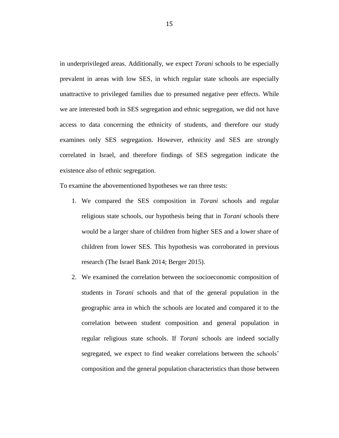in underprivileged areas. Additionally, we expect *Torani* schools to be especially prevalent in areas with low SES, in which regular state schools are especially unattractive to privileged families due to presumed negative peer effects. While we are interested both in SES segregation and ethnic segregation, we did not have access to data concerning the ethnicity of students, and therefore our study examines only SES segregation. However, ethnicity and SES are strongly correlated in Israel, and therefore findings of SES segregation indicate the existence also of ethnic segregation.

To examine the abovementioned hypotheses we ran three tests:

- 1. We compared the SES composition in *Torani* schools and regular religious state schools, our hypothesis being that in *Torani* schools there would be a larger share of children from higher SES and a lower share of children from lower SES. This hypothesis was corroborated in previous research (The Israel Bank 2014; Berger 2015).
- 2. We examined the correlation between the socioeconomic composition of students in *Torani* schools and that of the general population in the geographic area in which the schools are located and compared it to the correlation between student composition and general population in regular religious state schools. If *Torani* schools are indeed socially segregated, we expect to find weaker correlations between the schools' composition and the general population characteristics than those between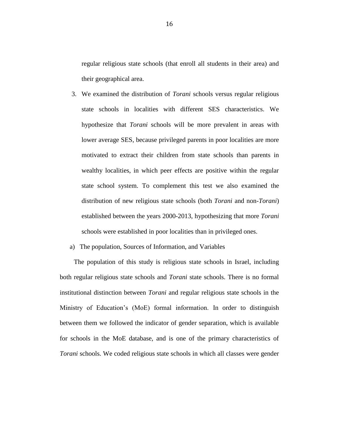regular religious state schools (that enroll all students in their area) and their geographical area.

- 3. We examined the distribution of *Torani* schools versus regular religious state schools in localities with different SES characteristics. We hypothesize that *Torani* schools will be more prevalent in areas with lower average SES, because privileged parents in poor localities are more motivated to extract their children from state schools than parents in wealthy localities, in which peer effects are positive within the regular state school system. To complement this test we also examined the distribution of new religious state schools (both *Torani* and non-*Torani*) established between the years 2000-2013, hypothesizing that more *Torani* schools were established in poor localities than in privileged ones.
- a) The population, Sources of Information, and Variables

The population of this study is religious state schools in Israel, including both regular religious state schools and *Torani* state schools. There is no formal institutional distinction between *Torani* and regular religious state schools in the Ministry of Education's (MoE) formal information. In order to distinguish between them we followed the indicator of gender separation, which is available for schools in the MoE database, and is one of the primary characteristics of *Torani* schools. We coded religious state schools in which all classes were gender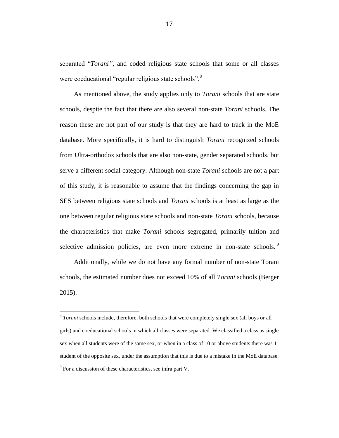separated "*Torani"*, and coded religious state schools that some or all classes were coeducational "regular religious state schools".<sup>8</sup>

As mentioned above, the study applies only to *Torani* schools that are state schools, despite the fact that there are also several non-state *Torani* schools. The reason these are not part of our study is that they are hard to track in the MoE database. More specifically, it is hard to distinguish *Torani* recognized schools from Ultra-orthodox schools that are also non-state, gender separated schools, but serve a different social category. Although non-state *Torani* schools are not a part of this study, it is reasonable to assume that the findings concerning the gap in SES between religious state schools and *Torani* schools is at least as large as the one between regular religious state schools and non-state *Torani* schools, because the characteristics that make *Torani* schools segregated, primarily tuition and selective admission policies, are even more extreme in non-state schools.<sup>9</sup>

Additionally, while we do not have any formal number of non-state Torani schools, the estimated number does not exceed 10% of all *Torani* schools (Berger 2015).

<sup>&</sup>lt;sup>8</sup> *Torani* schools include, therefore, both schools that were completely single sex (all boys or all girls) and coeducational schools in which all classes were separated. We classified a class as single sex when all students were of the same sex, or when in a class of 10 or above students there was 1 student of the opposite sex, under the assumption that this is due to a mistake in the MoE database.  $9^9$  For a discussion of these characteristics, see infra part V.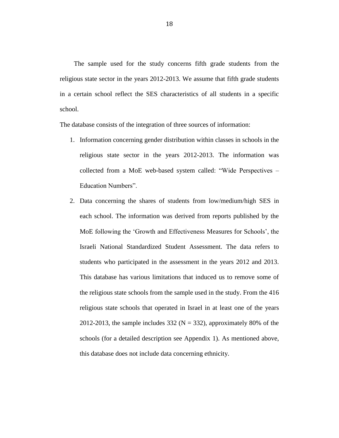The sample used for the study concerns fifth grade students from the religious state sector in the years 2012-2013. We assume that fifth grade students in a certain school reflect the SES characteristics of all students in a specific school.

The database consists of the integration of three sources of information:

- 1. Information concerning gender distribution within classes in schools in the religious state sector in the years 2012-2013. The information was collected from a MoE web-based system called: "Wide Perspectives – Education Numbers".
- 2. Data concerning the shares of students from low/medium/high SES in each school. The information was derived from reports published by the MoE following the 'Growth and Effectiveness Measures for Schools', the Israeli National Standardized Student Assessment. The data refers to students who participated in the assessment in the years 2012 and 2013. This database has various limitations that induced us to remove some of the religious state schools from the sample used in the study. From the 416 religious state schools that operated in Israel in at least one of the years 2012-2013, the sample includes 332 ( $N = 332$ ), approximately 80% of the schools (for a detailed description see Appendix 1). As mentioned above, this database does not include data concerning ethnicity.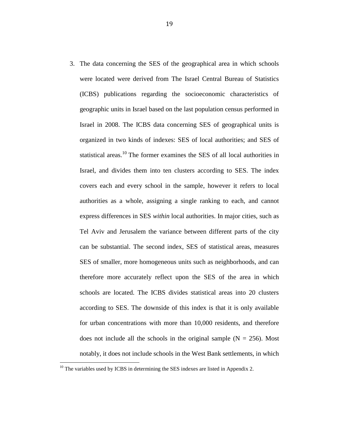3. The data concerning the SES of the geographical area in which schools were located were derived from The Israel Central Bureau of Statistics (ICBS) publications regarding the socioeconomic characteristics of geographic units in Israel based on the last population census performed in Israel in 2008. The ICBS data concerning SES of geographical units is organized in two kinds of indexes: SES of local authorities; and SES of statistical areas.<sup>10</sup> The former examines the SES of all local authorities in Israel, and divides them into ten clusters according to SES. The index covers each and every school in the sample, however it refers to local authorities as a whole, assigning a single ranking to each, and cannot express differences in SES *within* local authorities. In major cities, such as Tel Aviv and Jerusalem the variance between different parts of the city can be substantial. The second index, SES of statistical areas, measures SES of smaller, more homogeneous units such as neighborhoods, and can therefore more accurately reflect upon the SES of the area in which schools are located. The ICBS divides statistical areas into 20 clusters according to SES. The downside of this index is that it is only available for urban concentrations with more than 10,000 residents, and therefore does not include all the schools in the original sample  $(N = 256)$ . Most notably, it does not include schools in the West Bank settlements, in which

l

 $10$  The variables used by ICBS in determining the SES indexes are listed in Appendix 2.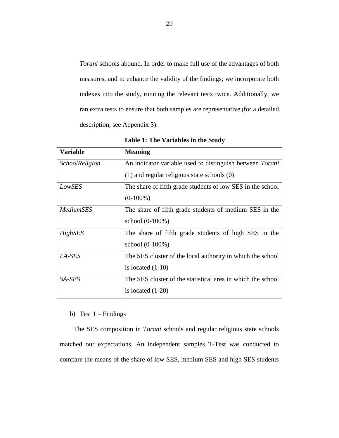*Torani* schools abound. In order to make full use of the advantages of both measures, and to enhance the validity of the findings, we incorporate both indexes into the study, running the relevant tests twice. Additionally, we ran extra tests to ensure that both samples are representative (for a detailed description, see Appendix 3).

| <b>Variable</b>       | <b>Meaning</b>                                                  |
|-----------------------|-----------------------------------------------------------------|
| <b>SchoolReligion</b> | An indicator variable used to distinguish between <i>Torani</i> |
|                       | $(1)$ and regular religious state schools $(0)$                 |
| LowSES                | The share of fifth grade students of low SES in the school      |
|                       | $(0-100\%)$                                                     |
| <i>MediumSES</i>      | The share of fifth grade students of medium SES in the          |
|                       | school (0-100%)                                                 |
| HighSES               | The share of fifth grade students of high SES in the            |
|                       | school (0-100%)                                                 |
| LA-SES                | The SES cluster of the local authority in which the school      |
|                       | is located $(1-10)$                                             |
| SA-SES                | The SES cluster of the statistical area in which the school     |
|                       | is located $(1-20)$                                             |

**Table 1: The Variables in the Study**

### b) Test  $1 -$  Findings

The SES composition in *Torani* schools and regular religious state schools matched our expectations. An independent samples T-Test was conducted to compare the means of the share of low SES, medium SES and high SES students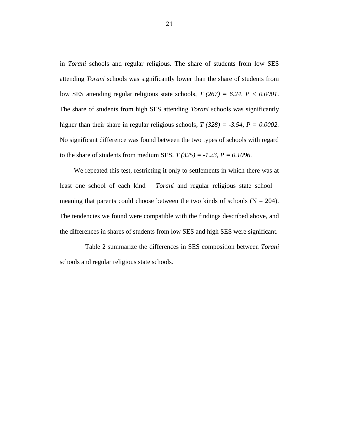in *Torani* schools and regular religious. The share of students from low SES attending *Torani* schools was significantly lower than the share of students from low SES attending regular religious state schools, *T (267) = 6.24, P < 0.0001*. The share of students from high SES attending *Torani* schools was significantly higher than their share in regular religious schools, *T (328) = -3.54, P = 0.0002.* No significant difference was found between the two types of schools with regard to the share of students from medium SES,  $T(325) = -1.23$ ,  $P = 0.1096$ .

We repeated this test, restricting it only to settlements in which there was at least one school of each kind – *Torani* and regular religious state school – meaning that parents could choose between the two kinds of schools  $(N = 204)$ . The tendencies we found were compatible with the findings described above, and the differences in shares of students from low SES and high SES were significant.

Table 2 summarize the differences in SES composition between *Torani* schools and regular religious state schools.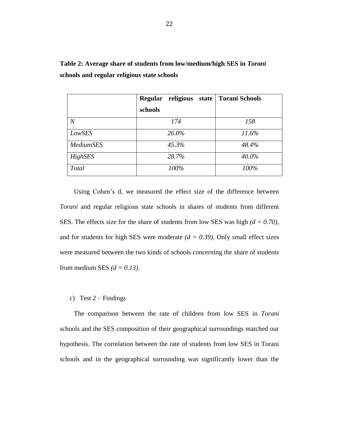| Table 2: Average share of students from low/medium/high SES in Torani |
|-----------------------------------------------------------------------|
| schools and regular religious state schools                           |

|                  | <b>Regular</b><br>religious state | <b>Torani Schools</b> |
|------------------|-----------------------------------|-----------------------|
|                  | schools                           |                       |
| $\overline{N}$   | 174                               | 158                   |
| LowSES           | 26.0%                             | 11.6%                 |
| <b>MediumSES</b> | 45.3%                             | 48.4%                 |
| HighSES          | 28.7%                             | 40.0%                 |
| Total            | 100%                              | 100%                  |

Using Cohen's d, we measured the effect size of the difference between *Torani* and regular religious state schools in shares of students from different SES. The effects size for the share of students from low SES was high *(d = 0.70)*, and for students for high SES were moderate  $(d = 0.39)$ . Only small effect sizes were measured between the two kinds of schools concerning the share of students from medium SES *(d = 0.13)*.

#### c) Test  $2 -$  Findings

The comparison between the rate of children from low SES in *Torani* schools and the SES composition of their geographical surroundings matched our hypothesis. The correlation between the rate of students from low SES in Torani schools and in the geographical surrounding was significantly lower than the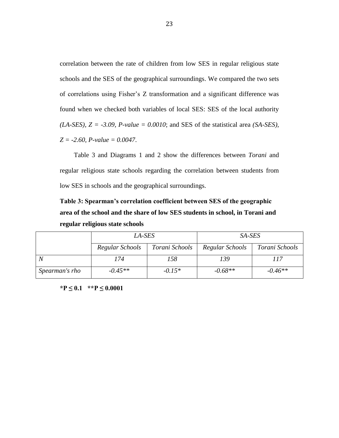correlation between the rate of children from low SES in regular religious state schools and the SES of the geographical surroundings. We compared the two sets of correlations using Fisher's Z transformation and a significant difference was found when we checked both variables of local SES: SES of the local authority *(LA-SES), Z = -3.09, P-value = 0.0010*; and SES of the statistical area *(SA-SES), Z = -2.60, P-value = 0.0047*.

Table 3 and Diagrams 1 and 2 show the differences between *Torani* and regular religious state schools regarding the correlation between students from low SES in schools and the geographical surroundings.

**Table 3: Spearman's correlation coefficient between SES of the geographic area of the school and the share of low SES students in school, in Torani and regular religious state schools**

|                | LA-SES          |                | SA-SES                            |           |  |
|----------------|-----------------|----------------|-----------------------------------|-----------|--|
|                | Regular Schools | Torani Schools | Regular Schools<br>Torani Schools |           |  |
| $\overline{N}$ | '74             | 158            | 139                               | 117       |  |
| Spearman's rho | $-0.45**$       | $-0.15*$       | $-0.68**$                         | $-0.46**$ |  |

**\*P ≤ 0.1 \*\*P ≤ 0.0001**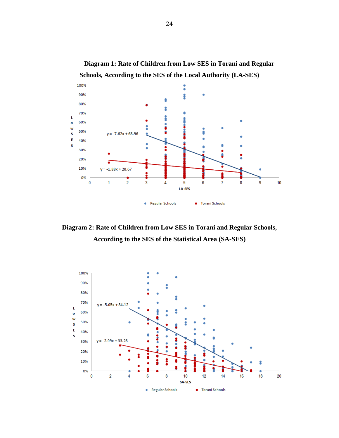

**Diagram 2: Rate of Children from Low SES in Torani and Regular Schools, According to the SES of the Statistical Area (SA-SES)**



**Diagram 1: Rate of Children from Low SES in Torani and Regular**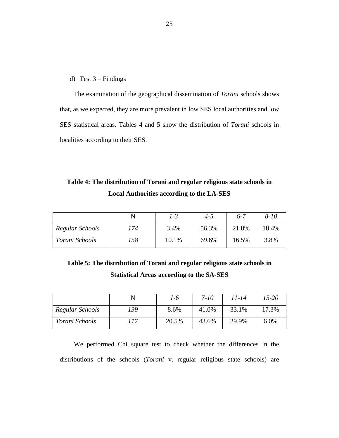d) Test 3 – Findings

The examination of the geographical dissemination of *Torani* schools shows that, as we expected, they are more prevalent in low SES local authorities and low SES statistical areas. Tables 4 and 5 show the distribution of *Torani* schools in localities according to their SES.

**Table 4: The distribution of Torani and regular religious state schools in Local Authorities according to the LA-SES**

|                 |     | 1-3   | 4-5   | $6 - 7$ | $8 - 10$ |
|-----------------|-----|-------|-------|---------|----------|
| Regular Schools | 74  | 3.4%  | 56.3% | 21.8%   | 18.4%    |
| Torani Schools  | '58 | 10.1% | 69.6% | 16.5%   | 3.8%     |

**Table 5: The distribution of Torani and regular religious state schools in Statistical Areas according to the SA-SES** 

|                 |     | 1-6   | 7-10  | 11-14 | $15 - 20$ |
|-----------------|-----|-------|-------|-------|-----------|
| Regular Schools | '39 | 8.6%  | 41.0% | 33.1% | 17.3%     |
| Torani Schools  | 117 | 20.5% | 43.6% | 29.9% | 6.0%      |

We performed Chi square test to check whether the differences in the distributions of the schools (*Torani* v. regular religious state schools) are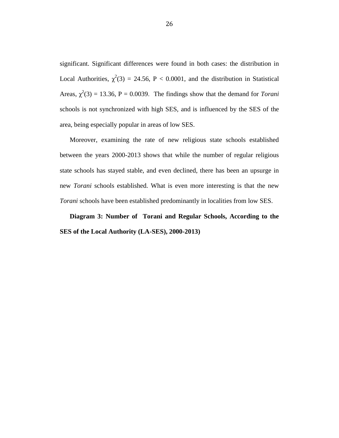significant. Significant differences were found in both cases: the distribution in Local Authorities,  $\chi^2(3) = 24.56$ , P < 0.0001, and the distribution in Statistical Areas,  $\chi^2(3) = 13.36$ , P = 0.0039. The findings show that the demand for *Torani* schools is not synchronized with high SES, and is influenced by the SES of the area, being especially popular in areas of low SES.

Moreover, examining the rate of new religious state schools established between the years 2000-2013 shows that while the number of regular religious state schools has stayed stable, and even declined, there has been an upsurge in new *Torani* schools established. What is even more interesting is that the new *Torani* schools have been established predominantly in localities from low SES.

**Diagram 3: Number of Torani and Regular Schools, According to the SES of the Local Authority (LA-SES), 2000-2013)**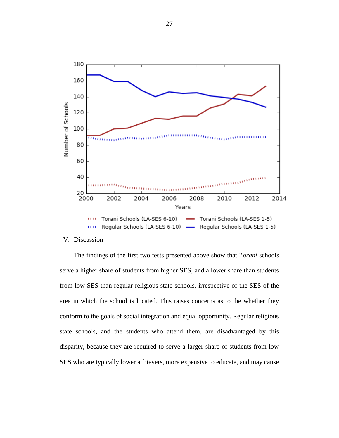

#### V. Discussion

The findings of the first two tests presented above show that *Torani* schools serve a higher share of students from higher SES, and a lower share than students from low SES than regular religious state schools, irrespective of the SES of the area in which the school is located. This raises concerns as to the whether they conform to the goals of social integration and equal opportunity. Regular religious state schools, and the students who attend them, are disadvantaged by this disparity, because they are required to serve a larger share of students from low SES who are typically lower achievers, more expensive to educate, and may cause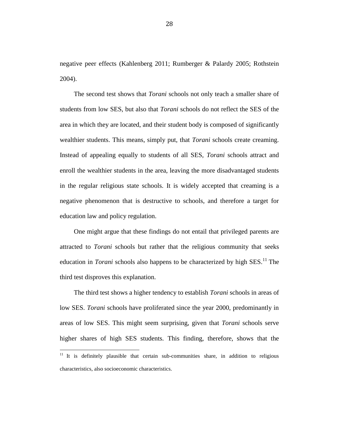negative peer effects (Kahlenberg 2011; Rumberger & Palardy 2005; Rothstein 2004).

The second test shows that *Torani* schools not only teach a smaller share of students from low SES, but also that *Torani* schools do not reflect the SES of the area in which they are located, and their student body is composed of significantly wealthier students. This means, simply put, that *Torani* schools create creaming. Instead of appealing equally to students of all SES, *Torani* schools attract and enroll the wealthier students in the area, leaving the more disadvantaged students in the regular religious state schools. It is widely accepted that creaming is a negative phenomenon that is destructive to schools, and therefore a target for education law and policy regulation.

One might argue that these findings do not entail that privileged parents are attracted to *Torani* schools but rather that the religious community that seeks education in *Torani* schools also happens to be characterized by high SES.<sup>11</sup> The third test disproves this explanation.

The third test shows a higher tendency to establish *Torani* schools in areas of low SES. *Torani* schools have proliferated since the year 2000, predominantly in areas of low SES. This might seem surprising, given that *Torani* schools serve higher shares of high SES students. This finding, therefore, shows that the

 $11$  It is definitely plausible that certain sub-communities share, in addition to religious characteristics, also socioeconomic characteristics.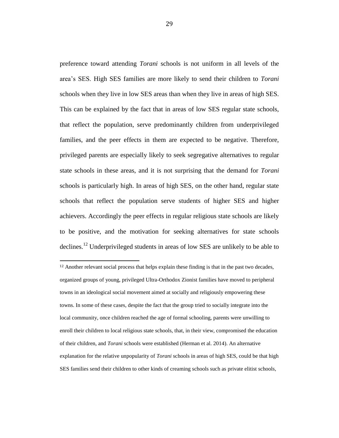preference toward attending *Torani* schools is not uniform in all levels of the area's SES. High SES families are more likely to send their children to *Torani* schools when they live in low SES areas than when they live in areas of high SES. This can be explained by the fact that in areas of low SES regular state schools, that reflect the population, serve predominantly children from underprivileged families, and the peer effects in them are expected to be negative. Therefore, privileged parents are especially likely to seek segregative alternatives to regular state schools in these areas, and it is not surprising that the demand for *Torani* schools is particularly high. In areas of high SES, on the other hand, regular state schools that reflect the population serve students of higher SES and higher achievers. Accordingly the peer effects in regular religious state schools are likely to be positive, and the motivation for seeking alternatives for state schools declines.<sup>12</sup> Underprivileged students in areas of low SES are unlikely to be able to

<sup>&</sup>lt;sup>12</sup> Another relevant social process that helps explain these finding is that in the past two decades, organized groups of young, privileged Ultra-Orthodox Zionist families have moved to peripheral towns in an ideological social movement aimed at socially and religiously empowering these towns. In some of these cases, despite the fact that the group tried to socially integrate into the local community, once children reached the age of formal schooling, parents were unwilling to enroll their children to local religious state schools, that, in their view, compromised the education of their children, and *Torani* schools were established (Herman et al. 2014). An alternative explanation for the relative unpopularity of *Torani* schools in areas of high SES, could be that high SES families send their children to other kinds of creaming schools such as private elitist schools,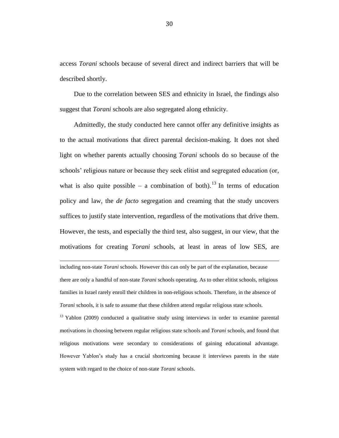access *Torani* schools because of several direct and indirect barriers that will be described shortly.

Due to the correlation between SES and ethnicity in Israel, the findings also suggest that *Torani* schools are also segregated along ethnicity.

Admittedly, the study conducted here cannot offer any definitive insights as to the actual motivations that direct parental decision-making. It does not shed light on whether parents actually choosing *Torani* schools do so because of the schools' religious nature or because they seek elitist and segregated education (or, what is also quite possible – a combination of both).<sup>13</sup> In terms of education policy and law, the *de facto* segregation and creaming that the study uncovers suffices to justify state intervention, regardless of the motivations that drive them. However, the tests, and especially the third test, also suggest, in our view, that the motivations for creating *Torani* schools, at least in areas of low SES, are

including non-state *Torani* schools. However this can only be part of the explanation, because there are only a handful of non-state *Torani* schools operating. As to other elitist schools, religious families in Israel rarely enroll their children in non-religious schools. Therefore, in the absence of *Torani* schools, it is safe to assume that these children attend regular religious state schools.

 $\overline{a}$ 

 $13$  Yablon (2009) conducted a qualitative study using interviews in order to examine parental motivations in choosing between regular religious state schools and *Torani* schools, and found that religious motivations were secondary to considerations of gaining educational advantage. However Yablon's study has a crucial shortcoming because it interviews parents in the state system with regard to the choice of non-state *Torani* schools.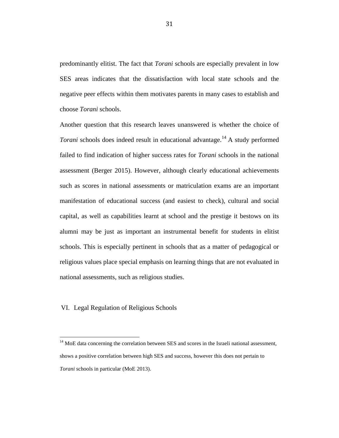predominantly elitist. The fact that *Torani* schools are especially prevalent in low SES areas indicates that the dissatisfaction with local state schools and the negative peer effects within them motivates parents in many cases to establish and choose *Torani* schools.

Another question that this research leaves unanswered is whether the choice of *Torani* schools does indeed result in educational advantage.<sup>14</sup> A study performed failed to find indication of higher success rates for *Torani* schools in the national assessment (Berger 2015). However, although clearly educational achievements such as scores in national assessments or matriculation exams are an important manifestation of educational success (and easiest to check), cultural and social capital, as well as capabilities learnt at school and the prestige it bestows on its alumni may be just as important an instrumental benefit for students in elitist schools. This is especially pertinent in schools that as a matter of pedagogical or religious values place special emphasis on learning things that are not evaluated in national assessments, such as religious studies.

#### VI. Legal Regulation of Religious Schools

 $14$  MoE data concerning the correlation between SES and scores in the Israeli national assessment, shows a positive correlation between high SES and success, however this does not pertain to *Torani* schools in particular (MoE 2013).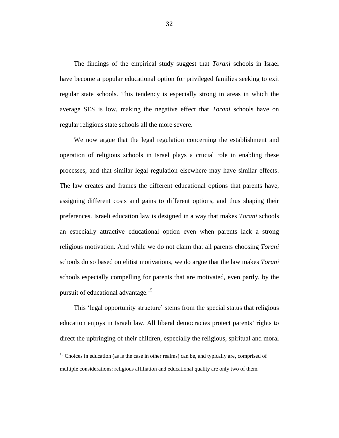The findings of the empirical study suggest that *Torani* schools in Israel have become a popular educational option for privileged families seeking to exit regular state schools. This tendency is especially strong in areas in which the average SES is low, making the negative effect that *Torani* schools have on regular religious state schools all the more severe.

We now argue that the legal regulation concerning the establishment and operation of religious schools in Israel plays a crucial role in enabling these processes, and that similar legal regulation elsewhere may have similar effects. The law creates and frames the different educational options that parents have, assigning different costs and gains to different options, and thus shaping their preferences. Israeli education law is designed in a way that makes *Torani* schools an especially attractive educational option even when parents lack a strong religious motivation. And while we do not claim that all parents choosing *Torani* schools do so based on elitist motivations, we do argue that the law makes *Torani* schools especially compelling for parents that are motivated, even partly, by the pursuit of educational advantage.<sup>15</sup>

This 'legal opportunity structure' stems from the special status that religious education enjoys in Israeli law. All liberal democracies protect parents' rights to direct the upbringing of their children, especially the religious, spiritual and moral

<sup>&</sup>lt;sup>15</sup> Choices in education (as is the case in other realms) can be, and typically are, comprised of multiple considerations: religious affiliation and educational quality are only two of them.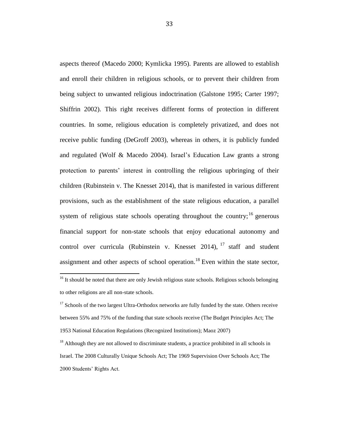aspects thereof (Macedo 2000; Kymlicka 1995). Parents are allowed to establish and enroll their children in religious schools, or to prevent their children from being subject to unwanted religious indoctrination (Galstone 1995; Carter 1997; Shiffrin 2002). This right receives different forms of protection in different countries. In some, religious education is completely privatized, and does not receive public funding (DeGroff 2003), whereas in others, it is publicly funded and regulated (Wolf & Macedo 2004). Israel's Education Law grants a strong protection to parents' interest in controlling the religious upbringing of their children (Rubinstein v. The Knesset 2014), that is manifested in various different provisions, such as the establishment of the state religious education, a parallel system of religious state schools operating throughout the country;<sup>16</sup> generous financial support for non-state schools that enjoy educational autonomy and control over curricula (Rubinstein v. Knesset 2014),  $^{17}$  staff and student assignment and other aspects of school operation.<sup>18</sup> Even within the state sector,

 $16$  It should be noted that there are only Jewish religious state schools. Religious schools belonging to other religions are all non-state schools.

<sup>&</sup>lt;sup>17</sup> Schools of the two largest Ultra-Orthodox networks are fully funded by the state. Others receive between 55% and 75% of the funding that state schools receive (The Budget Principles Act; The 1953 National Education Regulations (Recognized Institutions); Maoz 2007)

 $18$  Although they are not allowed to discriminate students, a practice prohibited in all schools in Israel. The 2008 Culturally Unique Schools Act; The 1969 Supervision Over Schools Act; The 2000 Students' Rights Act.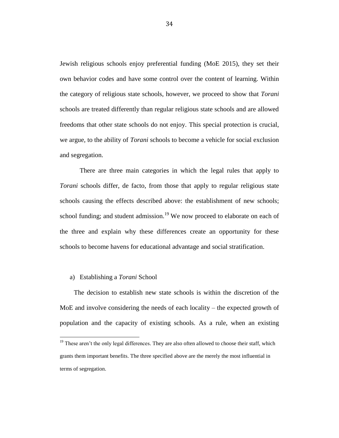Jewish religious schools enjoy preferential funding (MoE 2015), they set their own behavior codes and have some control over the content of learning. Within the category of religious state schools, however, we proceed to show that *Torani* schools are treated differently than regular religious state schools and are allowed freedoms that other state schools do not enjoy. This special protection is crucial, we argue, to the ability of *Torani* schools to become a vehicle for social exclusion and segregation.

There are three main categories in which the legal rules that apply to *Torani* schools differ, de facto, from those that apply to regular religious state schools causing the effects described above: the establishment of new schools; school funding; and student admission.<sup>19</sup> We now proceed to elaborate on each of the three and explain why these differences create an opportunity for these schools to become havens for educational advantage and social stratification.

#### a) Establishing a *Torani* School

 $\overline{a}$ 

The decision to establish new state schools is within the discretion of the MoE and involve considering the needs of each locality – the expected growth of population and the capacity of existing schools. As a rule, when an existing

 $19$  These aren't the only legal differences. They are also often allowed to choose their staff, which grants them important benefits. The three specified above are the merely the most influential in terms of segregation.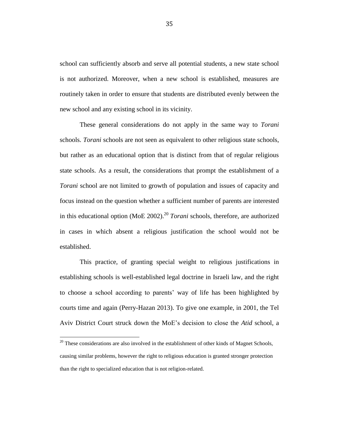school can sufficiently absorb and serve all potential students, a new state school is not authorized. Moreover, when a new school is established, measures are routinely taken in order to ensure that students are distributed evenly between the new school and any existing school in its vicinity.

These general considerations do not apply in the same way to *Torani*  schools. *Torani* schools are not seen as equivalent to other religious state schools, but rather as an educational option that is distinct from that of regular religious state schools. As a result, the considerations that prompt the establishment of a *Torani* school are not limited to growth of population and issues of capacity and focus instead on the question whether a sufficient number of parents are interested in this educational option (MoE 2002). <sup>20</sup> *Torani* schools, therefore, are authorized in cases in which absent a religious justification the school would not be established.

This practice, of granting special weight to religious justifications in establishing schools is well-established legal doctrine in Israeli law, and the right to choose a school according to parents' way of life has been highlighted by courts time and again (Perry-Hazan 2013). To give one example, in 2001, the Tel Aviv District Court struck down the MoE's decision to close the *Atid* school, a

 $20$  These considerations are also involved in the establishment of other kinds of Magnet Schools, causing similar problems, however the right to religious education is granted stronger protection than the right to specialized education that is not religion-related.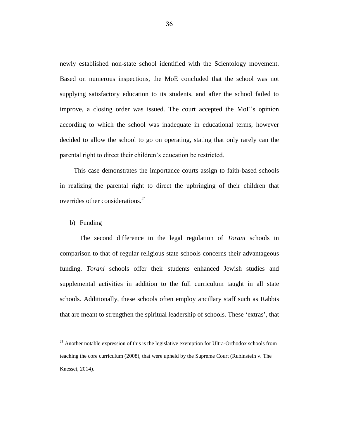newly established non-state school identified with the Scientology movement. Based on numerous inspections, the MoE concluded that the school was not supplying satisfactory education to its students, and after the school failed to improve, a closing order was issued. The court accepted the MoE's opinion according to which the school was inadequate in educational terms, however decided to allow the school to go on operating, stating that only rarely can the parental right to direct their children's education be restricted.

This case demonstrates the importance courts assign to faith-based schools in realizing the parental right to direct the upbringing of their children that overrides other considerations. 21

#### b) Funding

 $\overline{a}$ 

The second difference in the legal regulation of *Torani* schools in comparison to that of regular religious state schools concerns their advantageous funding. *Torani* schools offer their students enhanced Jewish studies and supplemental activities in addition to the full curriculum taught in all state schools. Additionally, these schools often employ ancillary staff such as Rabbis that are meant to strengthen the spiritual leadership of schools. These 'extras', that

 $21$  Another notable expression of this is the legislative exemption for Ultra-Orthodox schools from teaching the core curriculum (2008), that were upheld by the Supreme Court (Rubinstein v. The Knesset, 2014).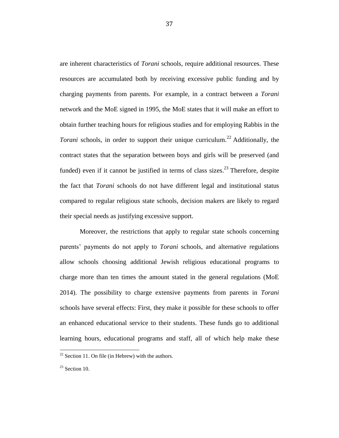are inherent characteristics of *Torani* schools, require additional resources. These resources are accumulated both by receiving excessive public funding and by charging payments from parents. For example, in a contract between a *Torani* network and the MoE signed in 1995, the MoE states that it will make an effort to obtain further teaching hours for religious studies and for employing Rabbis in the Torani schools, in order to support their unique curriculum.<sup>22</sup> Additionally, the contract states that the separation between boys and girls will be preserved (and funded) even if it cannot be justified in terms of class sizes.<sup>23</sup> Therefore, despite the fact that *Torani* schools do not have different legal and institutional status compared to regular religious state schools, decision makers are likely to regard their special needs as justifying excessive support.

Moreover, the restrictions that apply to regular state schools concerning parents' payments do not apply to *Torani* schools, and alternative regulations allow schools choosing additional Jewish religious educational programs to charge more than ten times the amount stated in the general regulations (MoE 2014). The possibility to charge extensive payments from parents in *Torani* schools have several effects: First, they make it possible for these schools to offer an enhanced educational service to their students. These funds go to additional learning hours, educational programs and staff, all of which help make these

 $22$  Section 11. On file (in Hebrew) with the authors.

 $23$  Section 10.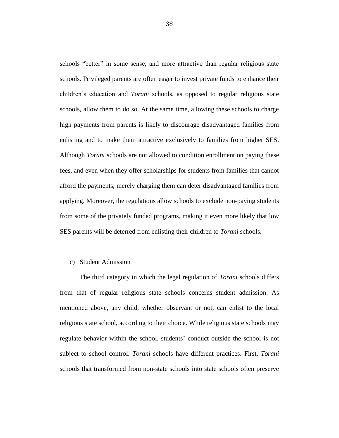schools "better" in some sense, and more attractive than regular religious state schools. Privileged parents are often eager to invest private funds to enhance their children's education and *Torani* schools, as opposed to regular religious state schools, allow them to do so. At the same time, allowing these schools to charge high payments from parents is likely to discourage disadvantaged families from enlisting and to make them attractive exclusively to families from higher SES. Although *Torani* schools are not allowed to condition enrollment on paying these fees, and even when they offer scholarships for students from families that cannot afford the payments, merely charging them can deter disadvantaged families from applying. Moreover, the regulations allow schools to exclude non-paying students from some of the privately funded programs, making it even more likely that low SES parents will be deterred from enlisting their children to *Torani* schools.

#### c) Student Admission

The third category in which the legal regulation of *Torani* schools differs from that of regular religious state schools concerns student admission. As mentioned above, any child, whether observant or not, can enlist to the local religious state school, according to their choice. While religious state schools may regulate behavior within the school, students' conduct outside the school is not subject to school control. *Torani* schools have different practices. First, *Torani*  schools that transformed from non-state schools into state schools often preserve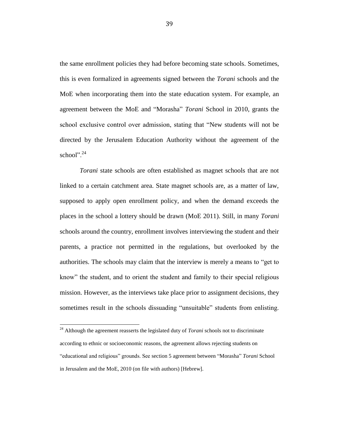the same enrollment policies they had before becoming state schools. Sometimes, this is even formalized in agreements signed between the *Torani* schools and the MoE when incorporating them into the state education system. For example, an agreement between the MoE and "Morasha" *Torani* School in 2010, grants the school exclusive control over admission, stating that "New students will not be directed by the Jerusalem Education Authority without the agreement of the school". $^{24}$ 

*Torani* state schools are often established as magnet schools that are not linked to a certain catchment area. State magnet schools are, as a matter of law, supposed to apply open enrollment policy, and when the demand exceeds the places in the school a lottery should be drawn (MoE 2011). Still, in many *Torani* schools around the country, enrollment involves interviewing the student and their parents, a practice not permitted in the regulations, but overlooked by the authorities. The schools may claim that the interview is merely a means to "get to know" the student, and to orient the student and family to their special religious mission. However, as the interviews take place prior to assignment decisions, they sometimes result in the schools dissuading "unsuitable" students from enlisting.

l

<sup>&</sup>lt;sup>24</sup> Although the agreement reasserts the legislated duty of *Torani* schools not to discriminate according to ethnic or socioeconomic reasons, the agreement allows rejecting students on "educational and religious" grounds. See section 5 agreement between "Morasha" *Torani* School in Jerusalem and the MoE, 2010 (on file with authors) [Hebrew].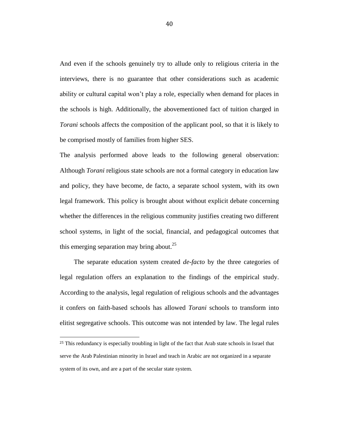And even if the schools genuinely try to allude only to religious criteria in the interviews, there is no guarantee that other considerations such as academic ability or cultural capital won't play a role, especially when demand for places in the schools is high. Additionally, the abovementioned fact of tuition charged in *Torani* schools affects the composition of the applicant pool, so that it is likely to be comprised mostly of families from higher SES.

The analysis performed above leads to the following general observation: Although *Torani* religious state schools are not a formal category in education law and policy, they have become, de facto, a separate school system, with its own legal framework. This policy is brought about without explicit debate concerning whether the differences in the religious community justifies creating two different school systems, in light of the social, financial, and pedagogical outcomes that this emerging separation may bring about.<sup>25</sup>

The separate education system created *de-facto* by the three categories of legal regulation offers an explanation to the findings of the empirical study. According to the analysis, legal regulation of religious schools and the advantages it confers on faith-based schools has allowed *Torani* schools to transform into elitist segregative schools. This outcome was not intended by law. The legal rules

<sup>&</sup>lt;sup>25</sup> This redundancy is especially troubling in light of the fact that Arab state schools in Israel that serve the Arab Palestinian minority in Israel and teach in Arabic are not organized in a separate system of its own, and are a part of the secular state system.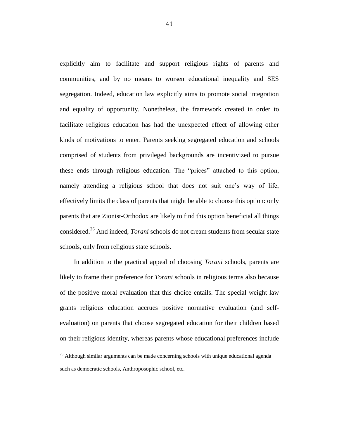explicitly aim to facilitate and support religious rights of parents and communities, and by no means to worsen educational inequality and SES segregation. Indeed, education law explicitly aims to promote social integration and equality of opportunity. Nonetheless, the framework created in order to facilitate religious education has had the unexpected effect of allowing other kinds of motivations to enter. Parents seeking segregated education and schools comprised of students from privileged backgrounds are incentivized to pursue these ends through religious education. The "prices" attached to this option, namely attending a religious school that does not suit one's way of life, effectively limits the class of parents that might be able to choose this option: only parents that are Zionist-Orthodox are likely to find this option beneficial all things considered.<sup>26</sup> And indeed, *Torani* schools do not cream students from secular state schools, only from religious state schools.

In addition to the practical appeal of choosing *Torani* schools, parents are likely to frame their preference for *Torani* schools in religious terms also because of the positive moral evaluation that this choice entails. The special weight law grants religious education accrues positive normative evaluation (and selfevaluation) on parents that choose segregated education for their children based on their religious identity, whereas parents whose educational preferences include

 $26$  Although similar arguments can be made concerning schools with unique educational agenda such as democratic schools, Anthroposophic school, etc.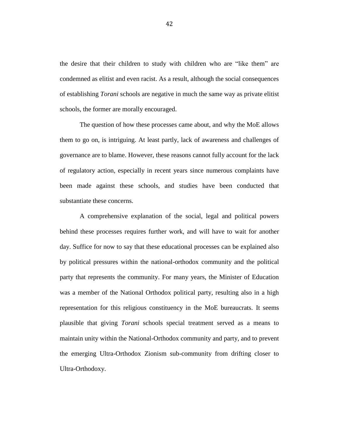the desire that their children to study with children who are "like them" are condemned as elitist and even racist. As a result, although the social consequences of establishing *Torani* schools are negative in much the same way as private elitist schools, the former are morally encouraged.

The question of how these processes came about, and why the MoE allows them to go on, is intriguing. At least partly, lack of awareness and challenges of governance are to blame. However, these reasons cannot fully account for the lack of regulatory action, especially in recent years since numerous complaints have been made against these schools, and studies have been conducted that substantiate these concerns.

A comprehensive explanation of the social, legal and political powers behind these processes requires further work, and will have to wait for another day. Suffice for now to say that these educational processes can be explained also by political pressures within the national-orthodox community and the political party that represents the community. For many years, the Minister of Education was a member of the National Orthodox political party, resulting also in a high representation for this religious constituency in the MoE bureaucrats. It seems plausible that giving *Torani* schools special treatment served as a means to maintain unity within the National-Orthodox community and party, and to prevent the emerging Ultra-Orthodox Zionism sub-community from drifting closer to Ultra-Orthodoxy.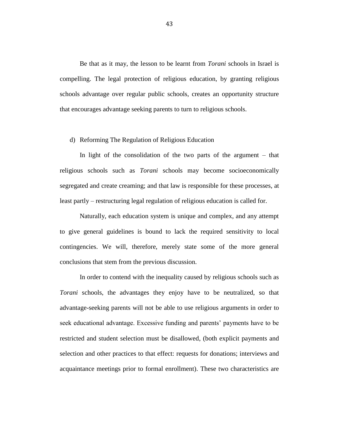Be that as it may, the lesson to be learnt from *Torani* schools in Israel is compelling. The legal protection of religious education, by granting religious schools advantage over regular public schools, creates an opportunity structure that encourages advantage seeking parents to turn to religious schools.

#### d) Reforming The Regulation of Religious Education

In light of the consolidation of the two parts of the argument – that religious schools such as *Torani* schools may become socioeconomically segregated and create creaming; and that law is responsible for these processes, at least partly – restructuring legal regulation of religious education is called for.

Naturally, each education system is unique and complex, and any attempt to give general guidelines is bound to lack the required sensitivity to local contingencies. We will, therefore, merely state some of the more general conclusions that stem from the previous discussion.

In order to contend with the inequality caused by religious schools such as *Torani* schools, the advantages they enjoy have to be neutralized, so that advantage-seeking parents will not be able to use religious arguments in order to seek educational advantage. Excessive funding and parents' payments have to be restricted and student selection must be disallowed, (both explicit payments and selection and other practices to that effect: requests for donations; interviews and acquaintance meetings prior to formal enrollment). These two characteristics are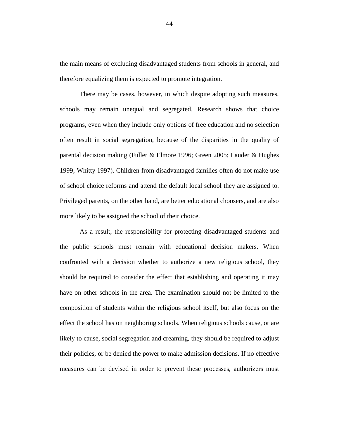the main means of excluding disadvantaged students from schools in general, and therefore equalizing them is expected to promote integration.

There may be cases, however, in which despite adopting such measures, schools may remain unequal and segregated. Research shows that choice programs, even when they include only options of free education and no selection often result in social segregation, because of the disparities in the quality of parental decision making (Fuller & Elmore 1996; Green 2005; Lauder & Hughes 1999; Whitty 1997). Children from disadvantaged families often do not make use of school choice reforms and attend the default local school they are assigned to. Privileged parents, on the other hand, are better educational choosers, and are also more likely to be assigned the school of their choice.

As a result, the responsibility for protecting disadvantaged students and the public schools must remain with educational decision makers. When confronted with a decision whether to authorize a new religious school, they should be required to consider the effect that establishing and operating it may have on other schools in the area. The examination should not be limited to the composition of students within the religious school itself, but also focus on the effect the school has on neighboring schools. When religious schools cause, or are likely to cause, social segregation and creaming, they should be required to adjust their policies, or be denied the power to make admission decisions. If no effective measures can be devised in order to prevent these processes, authorizers must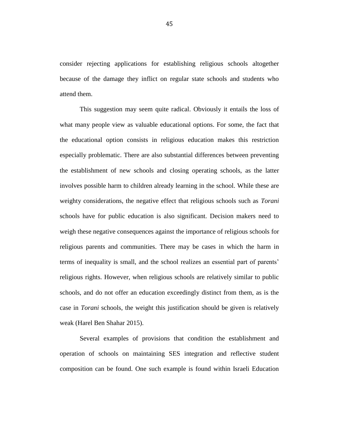consider rejecting applications for establishing religious schools altogether because of the damage they inflict on regular state schools and students who attend them.

This suggestion may seem quite radical. Obviously it entails the loss of what many people view as valuable educational options. For some, the fact that the educational option consists in religious education makes this restriction especially problematic. There are also substantial differences between preventing the establishment of new schools and closing operating schools, as the latter involves possible harm to children already learning in the school. While these are weighty considerations, the negative effect that religious schools such as *Torani* schools have for public education is also significant. Decision makers need to weigh these negative consequences against the importance of religious schools for religious parents and communities. There may be cases in which the harm in terms of inequality is small, and the school realizes an essential part of parents' religious rights. However, when religious schools are relatively similar to public schools, and do not offer an education exceedingly distinct from them, as is the case in *Torani* schools, the weight this justification should be given is relatively weak (Harel Ben Shahar 2015).

Several examples of provisions that condition the establishment and operation of schools on maintaining SES integration and reflective student composition can be found. One such example is found within Israeli Education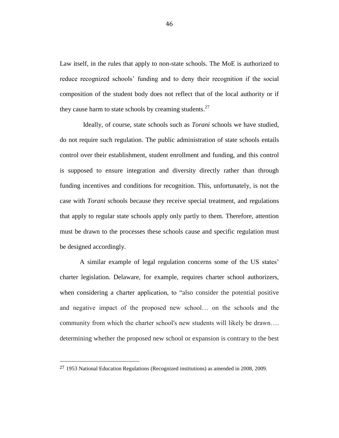Law itself, in the rules that apply to non-state schools. The MoE is authorized to reduce recognized schools' funding and to deny their recognition if the social composition of the student body does not reflect that of the local authority or if they cause harm to state schools by creaming students.<sup>27</sup>

Ideally, of course, state schools such as *Torani* schools we have studied, do not require such regulation. The public administration of state schools entails control over their establishment, student enrollment and funding, and this control is supposed to ensure integration and diversity directly rather than through funding incentives and conditions for recognition. This, unfortunately, is not the case with *Torani* schools because they receive special treatment, and regulations that apply to regular state schools apply only partly to them. Therefore, attention must be drawn to the processes these schools cause and specific regulation must be designed accordingly.

A similar example of legal regulation concerns some of the US states' charter legislation. Delaware, for example, requires charter school authorizers, when considering a charter application, to "also consider the potential positive and negative impact of the proposed new school… on the schools and the community from which the charter school's new students will likely be drawn…. determining whether the proposed new school or expansion is contrary to the best

<sup>27</sup> 1953 National Education Regulations (Recognized institutions) as amended in 2008, 2009.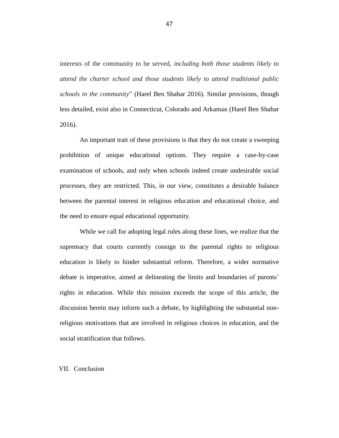interests of the community to be served, *including both those students likely to attend the charter school and those students likely to attend traditional public schools in the community*" (Harel Ben Shahar 2016). Similar provisions, though less detailed, exist also in Connecticut, Colorado and Arkansas (Harel Ben Shahar 2016).

An important trait of these provisions is that they do not create a sweeping prohibition of unique educational options. They require a case-by-case examination of schools, and only when schools indeed create undesirable social processes, they are restricted. This, in our view, constitutes a desirable balance between the parental interest in religious education and educational choice, and the need to ensure equal educational opportunity.

While we call for adopting legal rules along these lines, we realize that the supremacy that courts currently consign to the parental rights to religious education is likely to hinder substantial reform. Therefore, a wider normative debate is imperative, aimed at delineating the limits and boundaries of parents' rights in education. While this mission exceeds the scope of this article, the discussion herein may inform such a debate, by highlighting the substantial nonreligious motivations that are involved in religious choices in education, and the social stratification that follows.

#### VII. Conclusion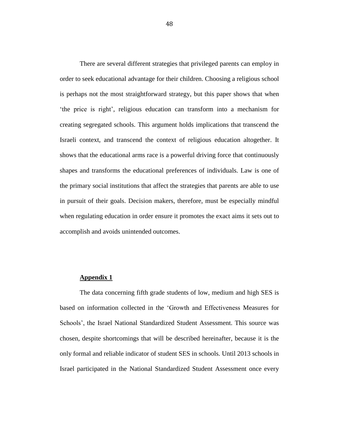There are several different strategies that privileged parents can employ in order to seek educational advantage for their children. Choosing a religious school is perhaps not the most straightforward strategy, but this paper shows that when 'the price is right', religious education can transform into a mechanism for creating segregated schools. This argument holds implications that transcend the Israeli context, and transcend the context of religious education altogether. It shows that the educational arms race is a powerful driving force that continuously shapes and transforms the educational preferences of individuals. Law is one of the primary social institutions that affect the strategies that parents are able to use in pursuit of their goals. Decision makers, therefore, must be especially mindful when regulating education in order ensure it promotes the exact aims it sets out to accomplish and avoids unintended outcomes.

#### **Appendix 1**

The data concerning fifth grade students of low, medium and high SES is based on information collected in the 'Growth and Effectiveness Measures for Schools', the Israel National Standardized Student Assessment. This source was chosen, despite shortcomings that will be described hereinafter, because it is the only formal and reliable indicator of student SES in schools. Until 2013 schools in Israel participated in the National Standardized Student Assessment once every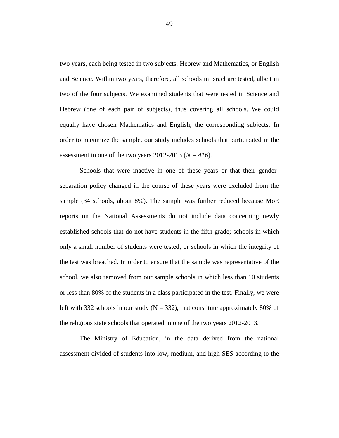two years, each being tested in two subjects: Hebrew and Mathematics, or English and Science. Within two years, therefore, all schools in Israel are tested, albeit in two of the four subjects. We examined students that were tested in Science and Hebrew (one of each pair of subjects), thus covering all schools. We could equally have chosen Mathematics and English, the corresponding subjects. In order to maximize the sample, our study includes schools that participated in the assessment in one of the two years  $2012-2013$  ( $N = 416$ ).

Schools that were inactive in one of these years or that their genderseparation policy changed in the course of these years were excluded from the sample (34 schools, about 8%). The sample was further reduced because MoE reports on the National Assessments do not include data concerning newly established schools that do not have students in the fifth grade; schools in which only a small number of students were tested; or schools in which the integrity of the test was breached. In order to ensure that the sample was representative of the school, we also removed from our sample schools in which less than 10 students or less than 80% of the students in a class participated in the test. Finally, we were left with 332 schools in our study ( $N = 332$ ), that constitute approximately 80% of the religious state schools that operated in one of the two years 2012-2013.

The Ministry of Education, in the data derived from the national assessment divided of students into low, medium, and high SES according to the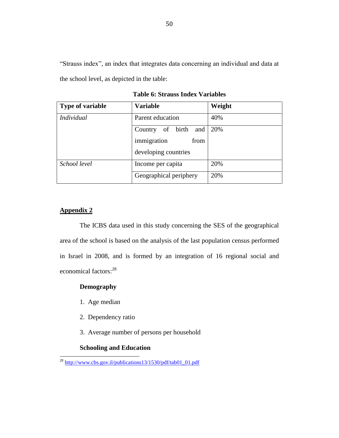"Strauss index", an index that integrates data concerning an individual and data at the school level, as depicted in the table:

| <b>Type of variable</b> | <b>Variable</b>            | Weight |
|-------------------------|----------------------------|--------|
| <b>Individual</b>       | Parent education           | 40%    |
|                         | of birth<br>and<br>Country | 20%    |
|                         | immigration<br>from        |        |
|                         | developing countries       |        |
| School level            | Income per capita          | 20%    |
|                         | Geographical periphery     | 20%    |

**Table 6: Strauss Index Variables**

## **Appendix 2**

 $\overline{a}$ 

The ICBS data used in this study concerning the SES of the geographical area of the school is based on the analysis of the last population census performed in Israel in 2008, and is formed by an integration of 16 regional social and economical factors:<sup>28</sup>

### **Demography**

- 1. Age median
- 2. Dependency ratio
- 3. Average number of persons per household

## **Schooling and Education**

<sup>&</sup>lt;sup>28</sup> [http://www.cbs.gov.il/publications13/1530/pdf/tab01\\_01.pdf](http://www.cbs.gov.il/publications13/1530/pdf/tab01_01.pdf)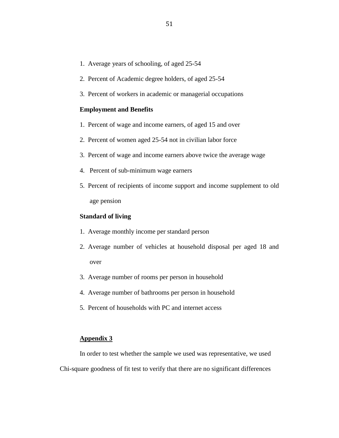- 1. Average years of schooling, of aged 25-54
- 2. Percent of Academic degree holders, of aged 25-54
- 3. Percent of workers in academic or managerial occupations

#### **Employment and Benefits**

- 1. Percent of wage and income earners, of aged 15 and over
- 2. Percent of women aged 25-54 not in civilian labor force
- 3. Percent of wage and income earners above twice the average wage
- 4. Percent of sub-minimum wage earners
- 5. Percent of recipients of income support and income supplement to old age pension

#### **Standard of living**

- 1. Average monthly income per standard person
- 2. Average number of vehicles at household disposal per aged 18 and over
- 3. Average number of rooms per person in household
- 4. Average number of bathrooms per person in household
- 5. Percent of households with PC and internet access

#### **Appendix 3**

In order to test whether the sample we used was representative, we used Chi-square goodness of fit test to verify that there are no significant differences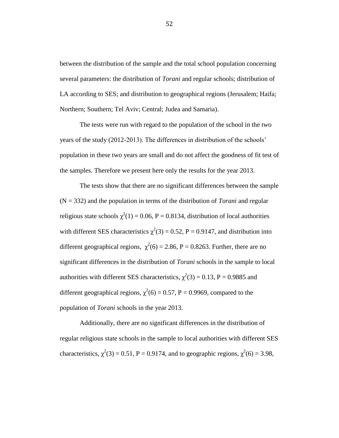between the distribution of the sample and the total school population concerning several parameters: the distribution of *Torani* and regular schools; distribution of LA according to SES; and distribution to geographical regions (Jerusalem; Haifa; Northern; Southern; Tel Aviv; Central; Judea and Samaria).

The tests were run with regard to the population of the school in the two years of the study (2012-2013). The differences in distribution of the schools' population in these two years are small and do not affect the goodness of fit test of the samples. Therefore we present here only the results for the year 2013.

The tests show that there are no significant differences between the sample (N = 332) and the population in terms of the distribution of *Torani* and regular religious state schools  $\chi^2(1) = 0.06$ , P = 0.8134, distribution of local authorities with different SES characteristics  $\chi^2(3) = 0.52$ , P = 0.9147, and distribution into different geographical regions,  $\chi^2(6) = 2.86$ , P = 0.8263. Further, there are no significant differences in the distribution of *Torani* schools in the sample to local authorities with different SES characteristics,  $\chi^2(3) = 0.13$ , P = 0.9885 and different geographical regions,  $\chi^2(6) = 0.57$ , P = 0.9969, compared to the population of *Torani* schools in the year 2013.

Additionally, there are no significant differences in the distribution of regular religious state schools in the sample to local authorities with different SES characteristics,  $\chi^2(3) = 0.51$ , P = 0.9174, and to geographic regions,  $\chi^2(6) = 3.98$ ,

52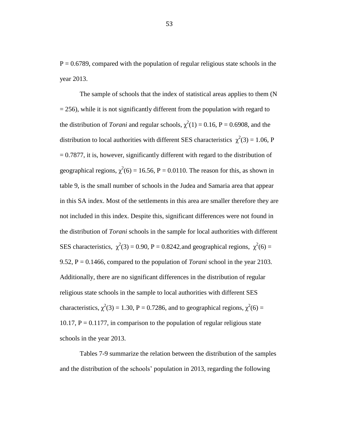$P = 0.6789$ , compared with the population of regular religious state schools in the year 2013.

The sample of schools that the index of statistical areas applies to them (N  $= 256$ ), while it is not significantly different from the population with regard to the distribution of *Torani* and regular schools,  $\chi^2(1) = 0.16$ , P = 0.6908, and the distribution to local authorities with different SES characteristics  $\chi^2(3) = 1.06$ , P  $= 0.7877$ , it is, however, significantly different with regard to the distribution of geographical regions,  $\chi^2(6) = 16.56$ , P = 0.0110. The reason for this, as shown in table 9, is the small number of schools in the Judea and Samaria area that appear in this SA index. Most of the settlements in this area are smaller therefore they are not included in this index. Despite this, significant differences were not found in the distribution of *Torani* schools in the sample for local authorities with different SES characteristics,  $\chi^2(3) = 0.90$ , P = 0.8242, and geographical regions,  $\chi^2(6) =$ 9.52, P = 0.1466, compared to the population of *Torani* school in the year 2103. Additionally, there are no significant differences in the distribution of regular religious state schools in the sample to local authorities with different SES characteristics,  $\chi^2(3) = 1.30$ , P = 0.7286, and to geographical regions,  $\chi^2(6) =$ 10.17,  $P = 0.1177$ , in comparison to the population of regular religious state schools in the year 2013.

Tables 7-9 summarize the relation between the distribution of the samples and the distribution of the schools' population in 2013, regarding the following

53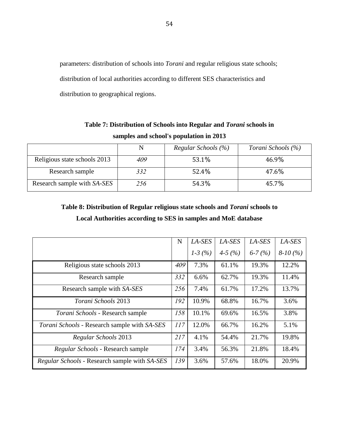parameters: distribution of schools into *Torani* and regular religious state schools; distribution of local authorities according to different SES characteristics and distribution to geographical regions.

| Table 7: Distribution of Schools into Regular and <i>Torani</i> schools in |
|----------------------------------------------------------------------------|
| samples and school's population in 2013                                    |

|                              | N   | Regular Schools (%) | Torani Schools (%) |
|------------------------------|-----|---------------------|--------------------|
| Religious state schools 2013 | 409 | 53.1%               | 46.9%              |
| Research sample              | 332 | 52.4%               | 47.6%              |
| Research sample with SA-SES  | 256 | 54.3%               | 45.7%              |

# **Table 8: Distribution of Regular religious state schools and** *Torani* **schools to Local Authorities according to SES in samples and MoE database**

|                                               | N   | $LA$ -SES | LA-SES   | LA-SES   | LA-SES    |
|-----------------------------------------------|-----|-----------|----------|----------|-----------|
|                                               |     | $1-3(%)$  | $4-5(%)$ | $6-7(%)$ | $8-10(%)$ |
| Religious state schools 2013                  | 409 | 7.3%      | 61.1%    | 19.3%    | 12.2%     |
| Research sample                               | 332 | 6.6%      | 62.7%    | 19.3%    | 11.4%     |
| Research sample with SA-SES                   | 256 | 7.4%      | 61.7%    | 17.2%    | 13.7%     |
| Torani Schools 2013                           | 192 | 10.9%     | 68.8%    | 16.7%    | 3.6%      |
| Torani Schools - Research sample              | 158 | 10.1%     | 69.6%    | 16.5%    | 3.8%      |
| Torani Schools - Research sample with SA-SES  | 117 | 12.0%     | 66.7%    | 16.2%    | 5.1%      |
| Regular Schools 2013                          | 217 | 4.1%      | 54.4%    | 21.7%    | 19.8%     |
| Regular Schools - Research sample             | 174 | 3.4%      | 56.3%    | 21.8%    | 18.4%     |
| Regular Schools - Research sample with SA-SES | 139 | 3.6%      | 57.6%    | 18.0%    | 20.9%     |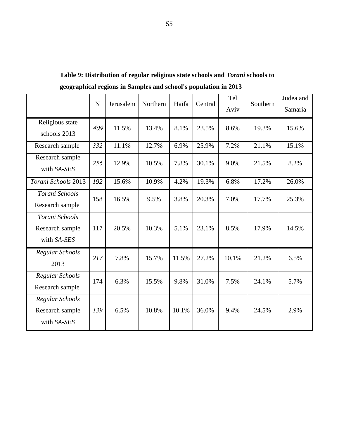|                                                   | $\mathbf N$ | Jerusalem | Northern | Haifa | Central | Tel<br>Aviv | Southern | Judea and<br>Samaria |
|---------------------------------------------------|-------------|-----------|----------|-------|---------|-------------|----------|----------------------|
| Religious state<br>schools 2013                   | 409         | 11.5%     | 13.4%    | 8.1%  | 23.5%   | 8.6%        | 19.3%    | 15.6%                |
| Research sample                                   | 332         | 11.1%     | 12.7%    | 6.9%  | 25.9%   | 7.2%        | 21.1%    | 15.1%                |
| Research sample<br>with SA-SES                    | 256         | 12.9%     | 10.5%    | 7.8%  | 30.1%   | 9.0%        | 21.5%    | 8.2%                 |
| Torani Schools 2013                               | 192         | 15.6%     | 10.9%    | 4.2%  | 19.3%   | 6.8%        | 17.2%    | 26.0%                |
| Torani Schools<br>Research sample                 | 158         | 16.5%     | 9.5%     | 3.8%  | 20.3%   | 7.0%        | 17.7%    | 25.3%                |
| Torani Schools<br>Research sample<br>with SA-SES  | 117         | 20.5%     | 10.3%    | 5.1%  | 23.1%   | 8.5%        | 17.9%    | 14.5%                |
| Regular Schools<br>2013                           | 217         | 7.8%      | 15.7%    | 11.5% | 27.2%   | 10.1%       | 21.2%    | 6.5%                 |
| Regular Schools<br>Research sample                | 174         | 6.3%      | 15.5%    | 9.8%  | 31.0%   | 7.5%        | 24.1%    | 5.7%                 |
| Regular Schools<br>Research sample<br>with SA-SES | 139         | 6.5%      | 10.8%    | 10.1% | 36.0%   | 9.4%        | 24.5%    | 2.9%                 |

**Table 9: Distribution of regular religious state schools and** *Torani* **schools to geographical regions in Samples and school's population in 2013**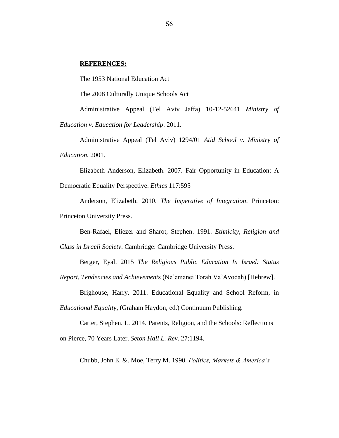#### **REFERENCES:**

The 1953 National Education Act

The 2008 Culturally Unique Schools Act

Administrative Appeal (Tel Aviv Jaffa) 10-12-52641 *Ministry of Education v. Education for Leadership*. 2011.

Administrative Appeal (Tel Aviv) 1294/01 *Atid School v. Ministry of Education.* 2001.

Elizabeth Anderson, Elizabeth. 2007. Fair Opportunity in Education: A Democratic Equality Perspective. *Ethics* 117:595

Anderson, Elizabeth. 2010. *The Imperative of Integration*. Princeton: Princeton University Press.

Ben-Rafael, Eliezer and Sharot, Stephen. 1991. *Ethnicity, Religion and* 

*Class in Israeli Society*. Cambridge: Cambridge University Press.

Berger, Eyal. 2015 *The Religious Public Education In Israel: Status* 

*Report, Tendencies and Achievement*s (Ne'emanei Torah Va'Avodah) [Hebrew].

Brighouse, Harry. 2011. Educational Equality and School Reform, in

*Educational Equality*, (Graham Haydon, ed.) Continuum Publishing.

Carter, Stephen. L. 2014. Parents, Religion, and the Schools: Reflections on Pierce, 70 Years Later. *Seton Hall L. Rev.* 27:1194.

Chubb, John E. &. Moe, Terry M. 1990. *Politics, Markets & America's* 

56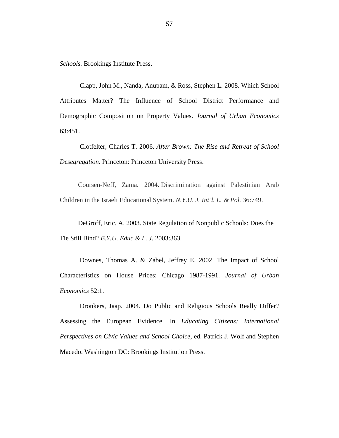*Schools.* Brookings Institute Press.

Clapp, John M., Nanda, Anupam, & Ross, Stephen L. 2008. Which School Attributes Matter? The Influence of School District Performance and Demographic Composition on Property Values. *Journal of Urban Economics* 63:451.

Clotfelter, Charles T. 2006. *After Brown: The Rise and Retreat of School Desegregation*. Princeton: Princeton University Press.

Coursen-Neff, Zama. 2004. Discrimination against Palestinian Arab Children in the Israeli Educational System. *N.Y.U. J. Int'l. L. & Pol.* 36:749.

DeGroff, Eric. A. 2003. State Regulation of Nonpublic Schools: Does the Tie Still Bind? *B.Y.U. Educ & L. J.* 2003:363.

Downes, Thomas A. & Zabel, Jeffrey E. 2002. The Impact of School Characteristics on House Prices: Chicago 1987-1991. *Journal of Urban Economics* 52:1.

Dronkers, Jaap. 2004. Do Public and Religious Schools Really Differ? Assessing the European Evidence. In *Educating Citizens: International Perspectives on Civic Values and School Choice,* ed. Patrick J. Wolf and Stephen Macedo. Washington DC: Brookings Institution Press.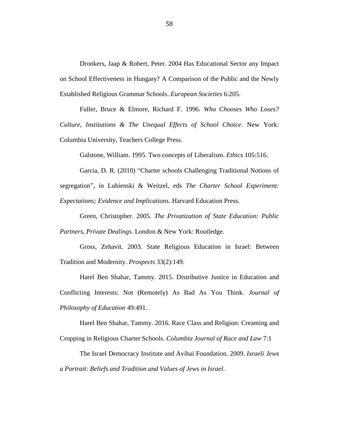Dronkers, Jaap & Robert, Peter. 2004 Has Educational Sector any Impact on School Effectiveness in Hungary? A Comparison of the Public and the Newly Established Religious Grammar Schools. *European Societies* 6:205.

Fuller, Bruce & Elmore, Richard F. 1996. *Who Chooses Who Loses? Culture, Institutions & The Unequal Effects of School Choice*. New York: Columbia University, Teachers College Press.

Galstone, William. 1995. Two concepts of Liberalism. *Ethics* 105:516.

Garcia, D. R. (2010) "Charter schools Challenging Traditional Notions of segregation", in Lubienski & Weitzel, eds *The Charter School Experiment: Expectations; Evidence and Implications*. Harvard Education Press.

Green, Christopher. 2005. *The Privatization of State Education: Public Partners, Private Dealings*. London & New York: Routledge.

Gross, Zehavit. 2003. State Religious Education in Israel: Between Tradition and Modernity. *Prospects* 33(2):149.

Harel Ben Shahar, Tammy. 2015. Distributive Justice in Education and Conflicting Interests: Not (Remotely) As Bad As You Think. *Journal of Philosophy of Education* 49:491.

Harel Ben Shahar, Tammy. 2016. Race Class and Religion: Creaming and Cropping in Religious Charter Schools. *Columbia Journal of Race and Law* 7:1

The Israel Democracy Institute and Avihai Foundation. 2009. *Israeli Jews a Portrait: Beliefs and Tradition and Values of Jews in Israel*.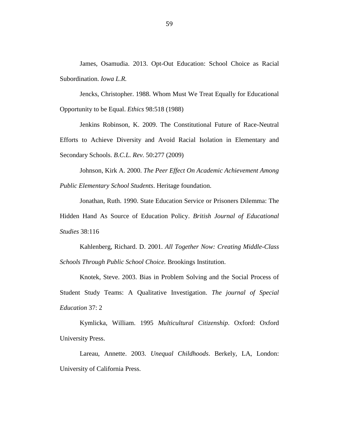James, Osamudia. 2013. Opt-Out Education: School Choice as Racial Subordination. *Iowa L.R.*

Jencks, Christopher. 1988. Whom Must We Treat Equally for Educational Opportunity to be Equal. *Ethics* 98:518 (1988)

Jenkins Robinson, K. 2009. The Constitutional Future of Race-Neutral Efforts to Achieve Diversity and Avoid Racial Isolation in Elementary and Secondary Schools. *B.C.L. Rev.* 50:277 (2009)

Johnson, Kirk A. 2000. *The Peer Effect On Academic Achievement Among Public Elementary School Students*. Heritage foundation.

Jonathan, Ruth. 1990. State Education Service or Prisoners Dilemma: The Hidden Hand As Source of Education Policy. *British Journal of Educational Studies* 38:116

Kahlenberg, Richard. D. 2001. *All Together Now: Creating Middle-Class Schools Through Public School Choice.* Brookings Institution.

Knotek, Steve. 2003. Bias in Problem Solving and the Social Process of Student Study Teams: A Qualitative Investigation. *The journal of Special Education* 37: 2

Kymlicka, William. 1995 *Multicultural Citizenship*. Oxford: Oxford University Press.

Lareau, Annette. 2003. *Unequal Childhoods*. Berkely, LA, London: University of California Press.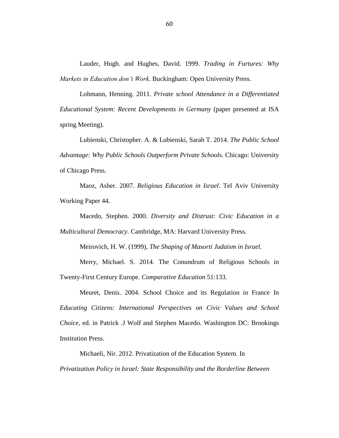Lauder, Hugh. and Hughes, David. 1999. *Trading in Furtures: Why Markets in Education don't Work*. Buckingham: Open University Press.

Lohmann, Henning. 2011. *Private school Attendance in a Differentiated Educational System: Recent Developments in Germany* (paper presented at ISA spring Meeting).

Lubienski, Christopher. A. & Lubienski, Sarah T. 2014. *The Public School Advantage: Why Public Schools Outperform Private Schools.* Chicago: University of Chicago Press.

Maoz, Asher. 2007. *Religious Education in Israel*. Tel Aviv University Working Paper 44.

Macedo, Stephen. 2000. *Diversity and Distrust: Civic Education in a Multicultural Democracy.* Cambridge, MA: Harvard University Press.

Meirovich, H. W. (1999), *The Shaping of Masorti Judaism in Israel.*

Merry, Michael. S. 2014. The Conundrum of Religious Schools in Twenty-First Century Europe. *Comparative Education* 51:133.

Meuret, Denis. 2004. School Choice and its Regulation in France In *Educating Citizens: International Perspectives on Civic Values and School Choice,* ed. in Patrick .J Wolf and Stephen Macedo. Washington DC: Brookings Institution Press.

Michaeli, Nir. 2012. Privatization of the Education System. In *Privatization Policy in Israel: State Responsibility and the Borderline Between*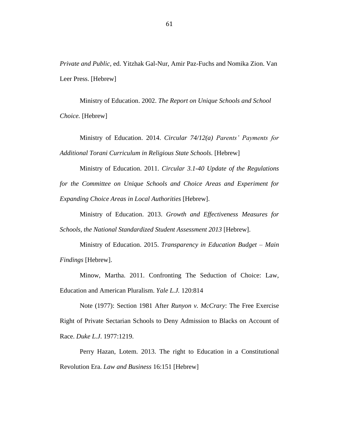*Private and Public,* ed. Yitzhak Gal-Nur, Amir Paz-Fuchs and Nomika Zion. Van Leer Press. [Hebrew]

Ministry of Education. 2002. *The Report on Unique Schools and School Choice.* [Hebrew]

Ministry of Education. 2014. *Circular 74/12(a) Parents' Payments for Additional Torani Curriculum in Religious State Schools.* [Hebrew]

Ministry of Education. 2011. *Circular 3.1-40 Update of the Regulations for the Committee on Unique Schools and Choice Areas and Experiment for Expanding Choice Areas in Local Authorities* [Hebrew].

Ministry of Education. 2013. *Growth and Effectiveness Measures for Schools, the National Standardized Student Assessment 2013* [Hebrew].

Ministry of Education. 2015. *Transparency in Education Budget – Main Findings* [Hebrew].

Minow, Martha. 2011. Confronting The Seduction of Choice: Law, Education and American Pluralism. *Yale L.J.* 120:814

Note (1977): Section 1981 After *Runyon v. McCrary*: The Free Exercise Right of Private Sectarian Schools to Deny Admission to Blacks on Account of Race. *Duke L.J*. 1977:1219.

Perry Hazan, Lotem. 2013. The right to Education in a Constitutional Revolution Era. *Law and Business* 16:151 [Hebrew]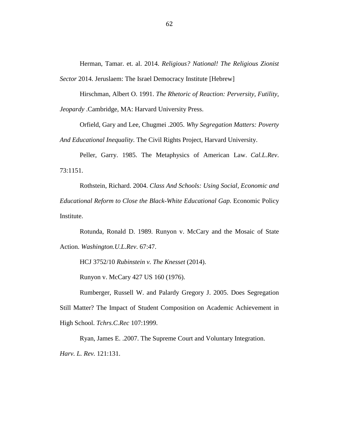Herman, Tamar. et. al. 2014. *Religious? National! The Religious Zionist Sector* 2014. Jeruslaem: The Israel Democracy Institute [Hebrew]

Hirschman, Albert O. 1991. *The Rhetoric of Reaction: Perversity, Futility, Jeopardy* .Cambridge, MA: Harvard University Press.

Orfield, Gary and Lee, Chugmei .2005. *Why Segregation Matters: Poverty And Educational Inequality.* The Civil Rights Project, Harvard University.

Peller, Garry. 1985. The Metaphysics of American Law. *Cal.L.Rev*. 73:1151.

Rothstein, Richard. 2004. *Class And Schools: Using Social, Economic and Educational Reform to Close the Black-White Educational Gap.* Economic Policy Institute.

Rotunda, Ronald D. 1989. Runyon v. McCary and the Mosaic of State Action. *Washington.U.L.Rev*. 67:47.

HCJ 3752/10 *Rubinstein v. The Knesset* (2014).

Runyon v. McCary 427 US 160 (1976).

Rumberger, Russell W. and Palardy Gregory J. 2005. Does Segregation Still Matter? The Impact of Student Composition on Academic Achievement in High School. *Tchrs.C.Rec* 107:1999.

Ryan, James E. .2007. The Supreme Court and Voluntary Integration. *Harv. L. Rev.* 121:131.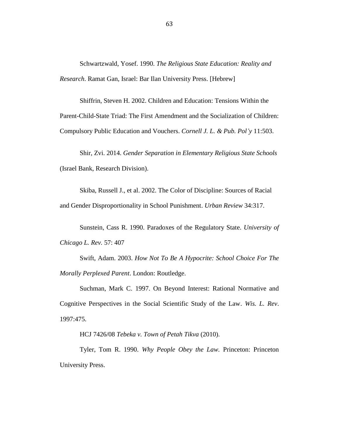Schwartzwald, Yosef. 1990. *The Religious State Education: Reality and Research*. Ramat Gan, Israel: Bar Ilan University Press. [Hebrew]

Shiffrin, Steven H. 2002. Children and Education: Tensions Within the Parent-Child-State Triad: The First Amendment and the Socialization of Children: Compulsory Public Education and Vouchers. *Cornell J. L. & Pub. Pol'y* 11:503.

Shir, Zvi. 2014. *Gender Separation in Elementary Religious State Schools* (Israel Bank, Research Division).

Skiba, Russell J., et al. 2002. The Color of Discipline: Sources of Racial and Gender Disproportionality in School Punishment. *Urban Review* 34:317.

Sunstein, Cass R. 1990. Paradoxes of the Regulatory State. *University of Chicago L. Rev.* 57: 407

Swift, Adam. 2003. *How Not To Be A Hypocrite: School Choice For The Morally Perplexed Parent*. London: Routledge.

Suchman, Mark C. 1997. On Beyond Interest: Rational Normative and Cognitive Perspectives in the Social Scientific Study of the Law. *Wis. L. Rev*. 1997:475.

HCJ 7426/08 *Tebeka v. Town of Petah Tikva* (2010).

Tyler, Tom R. 1990. *Why People Obey the Law.* Princeton: Princeton University Press.